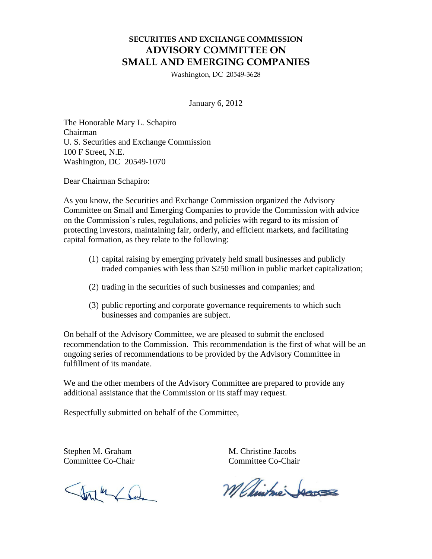## **SECURITIES AND EXCHANGE COMMISSION ADVISORY COMMITTEE ON SMALL AND EMERGING COMPANIES**

Washington, DC 20549-3628

January 6, 2012

The Honorable Mary L. Schapiro Chairman U. S. Securities and Exchange Commission 100 F Street, N.E. Washington, DC 20549-1070

Dear Chairman Schapiro:

As you know, the Securities and Exchange Commission organized the Advisory Committee on Small and Emerging Companies to provide the Commission with advice on the Commission's rules, regulations, and policies with regard to its mission of protecting investors, maintaining fair, orderly, and efficient markets, and facilitating capital formation, as they relate to the following:

- (1) capital raising by emerging privately held small businesses and publicly traded companies with less than \$250 million in public market capitalization;
- (2) trading in the securities of such businesses and companies; and
- (3) public reporting and corporate governance requirements to which such businesses and companies are subject.

On behalf of the Advisory Committee, we are pleased to submit the enclosed recommendation to the Commission. This recommendation is the first of what will be an ongoing series of recommendations to be provided by the Advisory Committee in fulfillment of its mandate.

We and the other members of the Advisory Committee are prepared to provide any additional assistance that the Commission or its staff may request.

Respectfully submitted on behalf of the Committee,

Start Com

Stephen M. Graham M. Christine Jacobs Committee Co-Chair Committee Co-Chair

M Chintme Jaco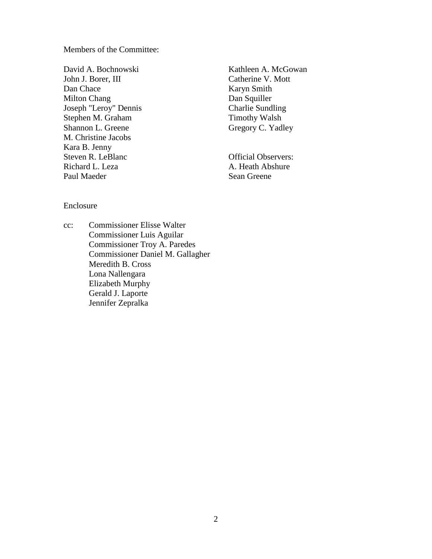Members of the Committee:

David A. Bochnowski John J. Borer, III Dan Chace Milton Chang Joseph "Leroy" Dennis Stephen M. Graham Shannon L. Greene M. Christine Jacobs Kara B. Jenny Steven R. LeBlanc Richard L. Leza Paul Maeder

Kathleen A. McGowan Catherine V. Mott Karyn Smith Dan Squiller Charlie Sundling Timothy Walsh Gregory C. Yadley

Official Observers: A. Heath Abshure Sean Greene

## Enclosure

cc: Commissioner Elisse Walter Commissioner Luis Aguilar Commissioner Troy A. Paredes Commissioner Daniel M. Gallagher Meredith B. Cross Lona Nallengara Elizabeth Murphy Gerald J. Laporte Jennifer Zepralka